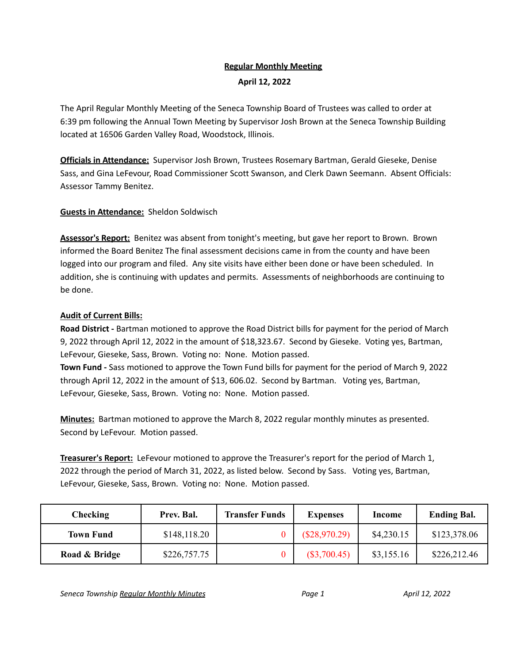## **Regular Monthly Meeting**

### **April 12, 2022**

The April Regular Monthly Meeting of the Seneca Township Board of Trustees was called to order at 6:39 pm following the Annual Town Meeting by Supervisor Josh Brown at the Seneca Township Building located at 16506 Garden Valley Road, Woodstock, Illinois.

**Officials in Attendance:** Supervisor Josh Brown, Trustees Rosemary Bartman, Gerald Gieseke, Denise Sass, and Gina LeFevour, Road Commissioner Scott Swanson, and Clerk Dawn Seemann. Absent Officials: Assessor Tammy Benitez.

## **Guests in Attendance:** Sheldon Soldwisch

**Assessor's Report:** Benitez was absent from tonight's meeting, but gave her report to Brown. Brown informed the Board Benitez The final assessment decisions came in from the county and have been logged into our program and filed. Any site visits have either been done or have been scheduled. In addition, she is continuing with updates and permits. Assessments of neighborhoods are continuing to be done.

## **Audit of Current Bills:**

**Road District -** Bartman motioned to approve the Road District bills for payment for the period of March 9, 2022 through April 12, 2022 in the amount of \$18,323.67. Second by Gieseke. Voting yes, Bartman, LeFevour, Gieseke, Sass, Brown. Voting no: None. Motion passed.

**Town Fund -** Sass motioned to approve the Town Fund bills for payment for the period of March 9, 2022 through April 12, 2022 in the amount of \$13, 606.02. Second by Bartman. Voting yes, Bartman, LeFevour, Gieseke, Sass, Brown. Voting no: None. Motion passed.

**Minutes:** Bartman motioned to approve the March 8, 2022 regular monthly minutes as presented. Second by LeFevour. Motion passed.

**Treasurer's Report:** LeFevour motioned to approve the Treasurer's report for the period of March 1, 2022 through the period of March 31, 2022, as listed below. Second by Sass. Voting yes, Bartman, LeFevour, Gieseke, Sass, Brown. Voting no: None. Motion passed.

| <b>Checking</b>  | Prev. Bal.   | <b>Transfer Funds</b> | <b>Expenses</b> | Income     | <b>Ending Bal.</b> |
|------------------|--------------|-----------------------|-----------------|------------|--------------------|
| <b>Town Fund</b> | \$148,118.20 |                       | (\$28,970.29)   | \$4,230.15 | \$123,378.06       |
| Road & Bridge    | \$226,757.75 |                       | $(\$3,700.45)$  | \$3,155.16 | \$226,212.46       |

*Seneca Township Regular Monthly Minutes Page 1 April 12, 2022*